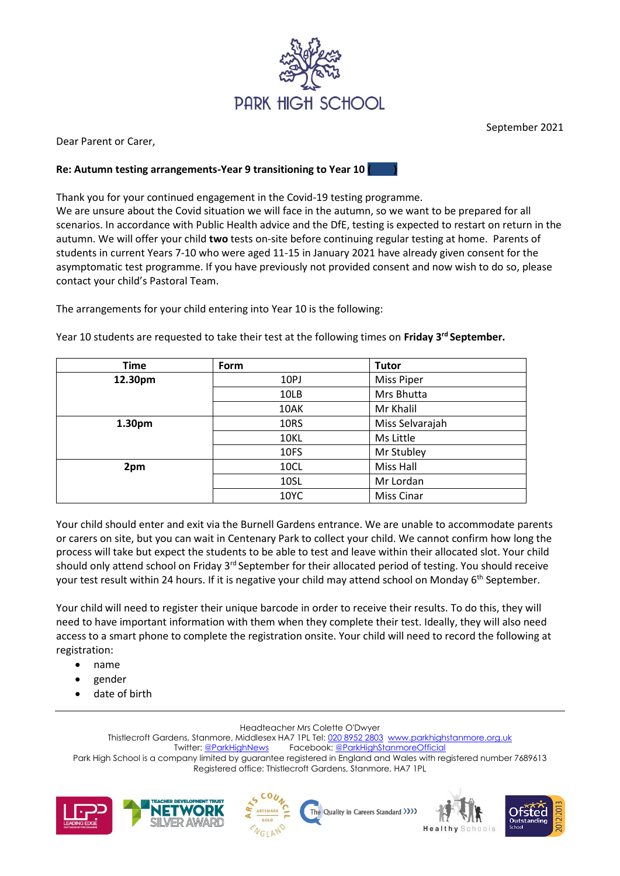

Dear Parent or Carer,

## **Re: Autumn testing arrangements-Year 9 transitioning to Year 10 ( )**

Thank you for your continued engagement in the Covid-19 testing programme.

We are unsure about the Covid situation we will face in the autumn, so we want to be prepared for all scenarios. In accordance with Public Health advice and the DfE, testing is expected to restart on return in the autumn. We will offer your child **two** tests on-site before continuing regular testing at home. Parents of students in current Years 7-10 who were aged 11-15 in January 2021 have already given consent for the asymptomatic test programme. If you have previously not provided consent and now wish to do so, please contact your child's Pastoral Team.

The arrangements for your child entering into Year 10 is the following:

| Time    | Form | <b>Tutor</b>      |
|---------|------|-------------------|
| 12.30pm | 10PJ | <b>Miss Piper</b> |
|         | 10LB | Mrs Bhutta        |
|         | 10AK | Mr Khalil         |
| 1.30pm  | 10RS | Miss Selvarajah   |
|         | 10KL | Ms Little         |
|         | 10FS | Mr Stubley        |
| 2pm     | 10CL | <b>Miss Hall</b>  |
|         | 10SL | Mr Lordan         |
|         | 10YC | <b>Miss Cinar</b> |

Year 10 students are requested to take their test at the following times on **Friday 3rd September.** 

Your child should enter and exit via the Burnell Gardens entrance. We are unable to accommodate parents or carers on site, but you can wait in Centenary Park to collect your child. We cannot confirm how long the process will take but expect the students to be able to test and leave within their allocated slot. Your child should only attend school on Friday 3<sup>rd</sup> September for their allocated period of testing. You should receive your test result within 24 hours. If it is negative your child may attend school on Monday 6<sup>th</sup> September.

Your child will need to register their unique barcode in order to receive their results. To do this, they will need to have important information with them when they complete their test. Ideally, they will also need access to a smart phone to complete the registration onsite. Your child will need to record the following at registration:

- name
- gender
- date of birth

Headteacher Mrs Colette O'Dwyer

Thistlecroft Gardens, Stanmore, Middlesex HA7 1PL Tel: [020 8952 2803](file://///phs-apps-06/Digital$/Templates/020%208952%202803) [www.parkhighstanmore.org.uk](file://///phs-apps-06/Digital$/Templates/www.parkhighstanmore.org.uk) Twitter[: @ParkHighNews](https://twitter.com/ParkHighNews) Facebook[: @ParkHighStanmoreOfficial](https://www.facebook.com/pg/ParkHighStanmoreOfficial) Park High School is a company limited by guarantee registered in England and Wales with registered number 7689613 Registered office: Thistlecroft Gardens, Stanmore, HA7 1PL











September 2021